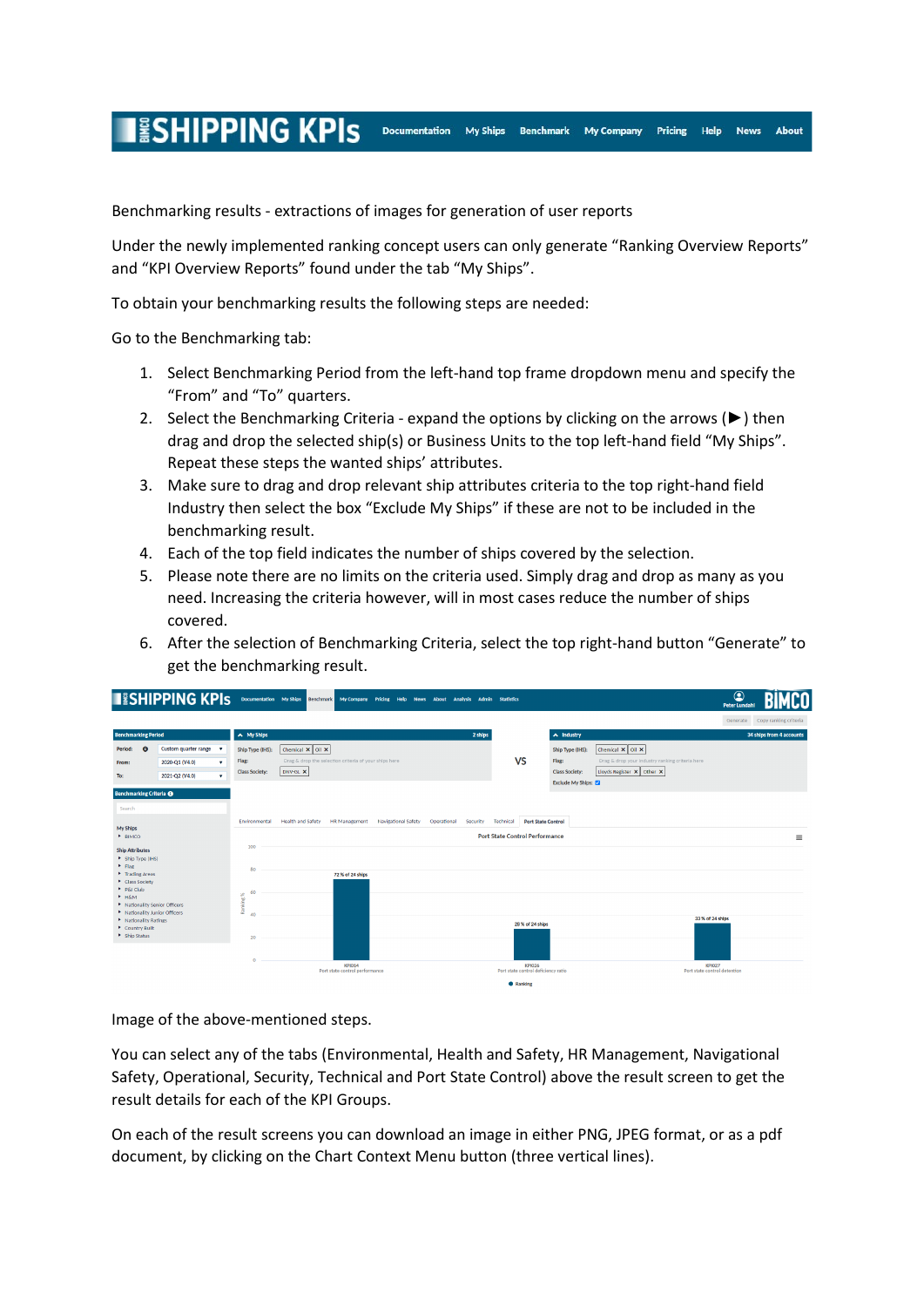## **ESHIPPING KPIS**

Benchmarking results - extractions of images for generation of user reports

Under the newly implemented ranking concept users can only generate "Ranking Overview Reports" and "KPI Overview Reports" found under the tab "My Ships".

Documentation My Ships Benchmark My Company

**Pricing** 

**Help** News About

To obtain your benchmarking results the following steps are needed:

Go to the Benchmarking tab:

- 1. Select Benchmarking Period from the left-hand top frame dropdown menu and specify the "From" and "To" quarters.
- 2. Select the Benchmarking Criteria expand the options by clicking on the arrows (►) then drag and drop the selected ship(s) or Business Units to the top left-hand field "My Ships". Repeat these steps the wanted ships' attributes.
- 3. Make sure to drag and drop relevant ship attributes criteria to the top right-hand field Industry then select the box "Exclude My Ships" if these are not to be included in the benchmarking result.
- 4. Each of the top field indicates the number of ships covered by the selection.
- 5. Please note there are no limits on the criteria used. Simply drag and drop as many as you need. Increasing the criteria however, will in most cases reduce the number of ships covered.
- 6. After the selection of Benchmarking Criteria, select the top right-hand button "Generate" to get the benchmarking result.



Image of the above-mentioned steps.

You can select any of the tabs (Environmental, Health and Safety, HR Management, Navigational Safety, Operational, Security, Technical and Port State Control) above the result screen to get the result details for each of the KPI Groups.

On each of the result screens you can download an image in either PNG, JPEG format, or as a pdf document, by clicking on the Chart Context Menu button (three vertical lines).